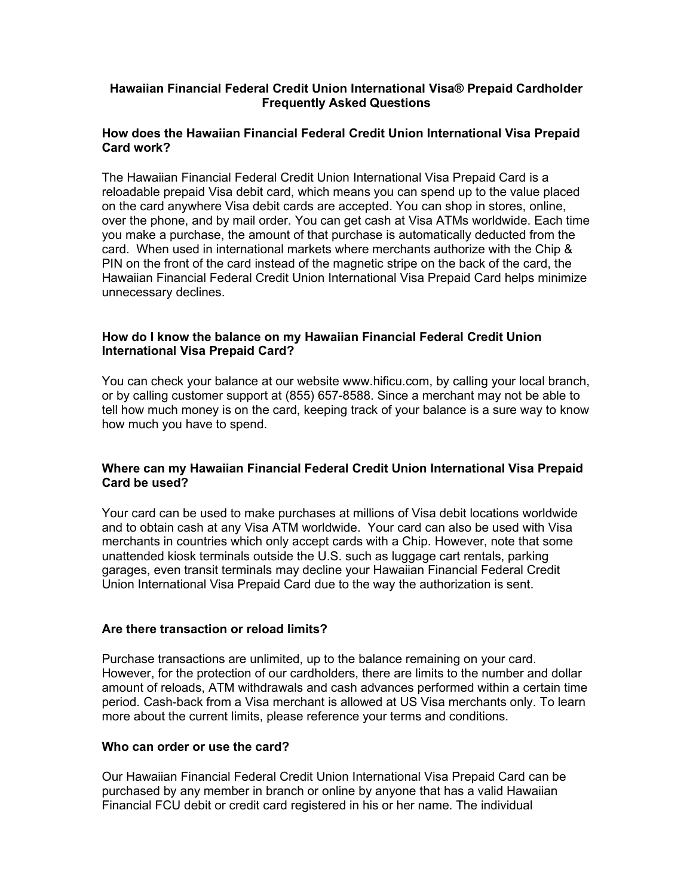## **Hawaiian Financial Federal Credit Union International Visa® Prepaid Cardholder Frequently Asked Questions**

## **How does the Hawaiian Financial Federal Credit Union International Visa Prepaid Card work?**

The Hawaiian Financial Federal Credit Union International Visa Prepaid Card is a reloadable prepaid Visa debit card, which means you can spend up to the value placed on the card anywhere Visa debit cards are accepted. You can shop in stores, online, over the phone, and by mail order. You can get cash at Visa ATMs worldwide. Each time you make a purchase, the amount of that purchase is automatically deducted from the card. When used in international markets where merchants authorize with the Chip & PIN on the front of the card instead of the magnetic stripe on the back of the card, the Hawaiian Financial Federal Credit Union International Visa Prepaid Card helps minimize unnecessary declines.

## **How do I know the balance on my Hawaiian Financial Federal Credit Union International Visa Prepaid Card?**

You can check your balance at our website www.hificu.com, by calling your local branch, or by calling customer support at (855) 657-8588. Since a merchant may not be able to tell how much money is on the card, keeping track of your balance is a sure way to know how much you have to spend.

### **Where can my Hawaiian Financial Federal Credit Union International Visa Prepaid Card be used?**

Your card can be used to make purchases at millions of Visa debit locations worldwide and to obtain cash at any Visa ATM worldwide. Your card can also be used with Visa merchants in countries which only accept cards with a Chip. However, note that some unattended kiosk terminals outside the U.S. such as luggage cart rentals, parking garages, even transit terminals may decline your Hawaiian Financial Federal Credit Union International Visa Prepaid Card due to the way the authorization is sent.

# **Are there transaction or reload limits?**

Purchase transactions are unlimited, up to the balance remaining on your card. However, for the protection of our cardholders, there are limits to the number and dollar amount of reloads, ATM withdrawals and cash advances performed within a certain time period. Cash-back from a Visa merchant is allowed at US Visa merchants only. To learn more about the current limits, please reference your terms and conditions.

# **Who can order or use the card?**

Our Hawaiian Financial Federal Credit Union International Visa Prepaid Card can be purchased by any member in branch or online by anyone that has a valid Hawaiian Financial FCU debit or credit card registered in his or her name. The individual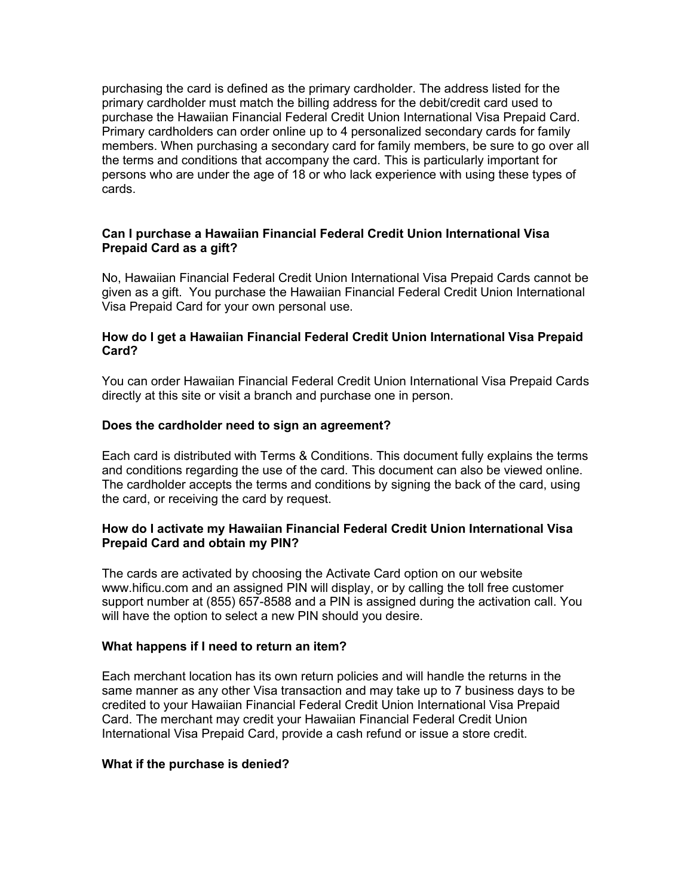purchasing the card is defined as the primary cardholder. The address listed for the primary cardholder must match the billing address for the debit/credit card used to purchase the Hawaiian Financial Federal Credit Union International Visa Prepaid Card. Primary cardholders can order online up to 4 personalized secondary cards for family members. When purchasing a secondary card for family members, be sure to go over all the terms and conditions that accompany the card. This is particularly important for persons who are under the age of 18 or who lack experience with using these types of cards.

# **Can I purchase a Hawaiian Financial Federal Credit Union International Visa Prepaid Card as a gift?**

No, Hawaiian Financial Federal Credit Union International Visa Prepaid Cards cannot be given as a gift. You purchase the Hawaiian Financial Federal Credit Union International Visa Prepaid Card for your own personal use.

### **How do I get a Hawaiian Financial Federal Credit Union International Visa Prepaid Card?**

You can order Hawaiian Financial Federal Credit Union International Visa Prepaid Cards directly at this site or visit a branch and purchase one in person.

#### **Does the cardholder need to sign an agreement?**

Each card is distributed with Terms & Conditions. This document fully explains the terms and conditions regarding the use of the card. This document can also be viewed online. The cardholder accepts the terms and conditions by signing the back of the card, using the card, or receiving the card by request.

### **How do I activate my Hawaiian Financial Federal Credit Union International Visa Prepaid Card and obtain my PIN?**

The cards are activated by choosing the Activate Card option on our website www.hificu.com and an assigned PIN will display, or by calling the toll free customer support number at (855) 657-8588 and a PIN is assigned during the activation call. You will have the option to select a new PIN should you desire.

#### **What happens if I need to return an item?**

Each merchant location has its own return policies and will handle the returns in the same manner as any other Visa transaction and may take up to 7 business days to be credited to your Hawaiian Financial Federal Credit Union International Visa Prepaid Card. The merchant may credit your Hawaiian Financial Federal Credit Union International Visa Prepaid Card, provide a cash refund or issue a store credit.

#### **What if the purchase is denied?**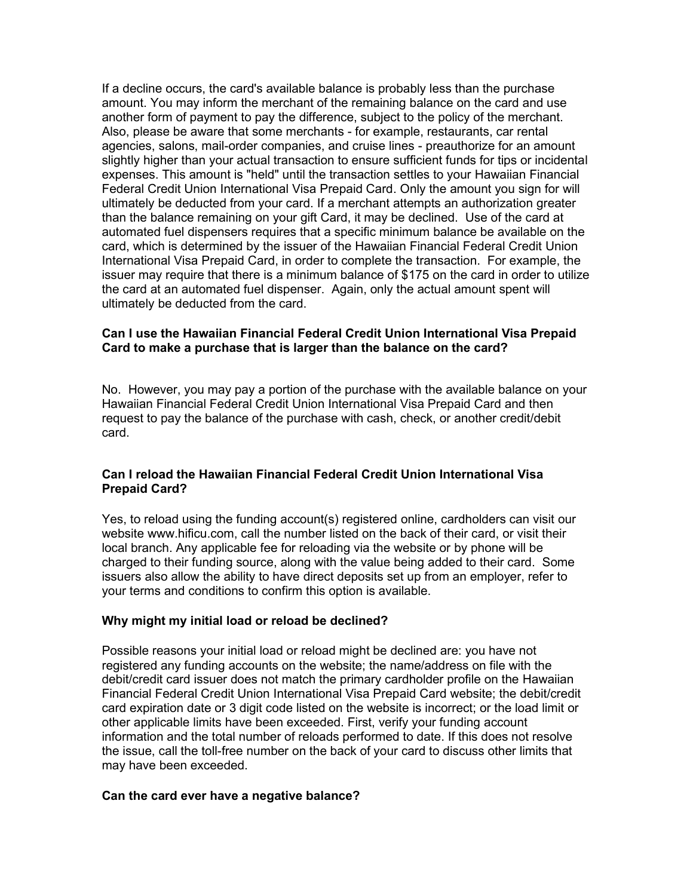If a decline occurs, the card's available balance is probably less than the purchase amount. You may inform the merchant of the remaining balance on the card and use another form of payment to pay the difference, subject to the policy of the merchant. Also, please be aware that some merchants - for example, restaurants, car rental agencies, salons, mail-order companies, and cruise lines - preauthorize for an amount slightly higher than your actual transaction to ensure sufficient funds for tips or incidental expenses. This amount is "held" until the transaction settles to your Hawaiian Financial Federal Credit Union International Visa Prepaid Card. Only the amount you sign for will ultimately be deducted from your card. If a merchant attempts an authorization greater than the balance remaining on your gift Card, it may be declined. Use of the card at automated fuel dispensers requires that a specific minimum balance be available on the card, which is determined by the issuer of the Hawaiian Financial Federal Credit Union International Visa Prepaid Card, in order to complete the transaction. For example, the issuer may require that there is a minimum balance of \$175 on the card in order to utilize the card at an automated fuel dispenser. Again, only the actual amount spent will ultimately be deducted from the card.

## **Can I use the Hawaiian Financial Federal Credit Union International Visa Prepaid Card to make a purchase that is larger than the balance on the card?**

No. However, you may pay a portion of the purchase with the available balance on your Hawaiian Financial Federal Credit Union International Visa Prepaid Card and then request to pay the balance of the purchase with cash, check, or another credit/debit card.

# **Can I reload the Hawaiian Financial Federal Credit Union International Visa Prepaid Card?**

Yes, to reload using the funding account(s) registered online, cardholders can visit our website www.hificu.com, call the number listed on the back of their card, or visit their local branch. Any applicable fee for reloading via the website or by phone will be charged to their funding source, along with the value being added to their card. Some issuers also allow the ability to have direct deposits set up from an employer, refer to your terms and conditions to confirm this option is available.

# **Why might my initial load or reload be declined?**

Possible reasons your initial load or reload might be declined are: you have not registered any funding accounts on the website; the name/address on file with the debit/credit card issuer does not match the primary cardholder profile on the Hawaiian Financial Federal Credit Union International Visa Prepaid Card website; the debit/credit card expiration date or 3 digit code listed on the website is incorrect; or the load limit or other applicable limits have been exceeded. First, verify your funding account information and the total number of reloads performed to date. If this does not resolve the issue, call the toll-free number on the back of your card to discuss other limits that may have been exceeded.

#### **Can the card ever have a negative balance?**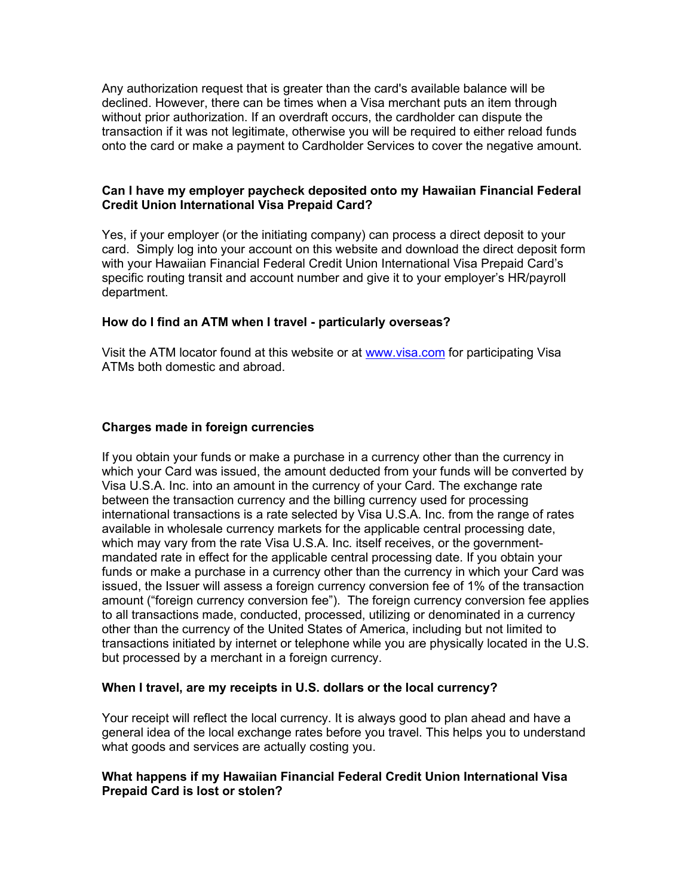Any authorization request that is greater than the card's available balance will be declined. However, there can be times when a Visa merchant puts an item through without prior authorization. If an overdraft occurs, the cardholder can dispute the transaction if it was not legitimate, otherwise you will be required to either reload funds onto the card or make a payment to Cardholder Services to cover the negative amount.

## **Can I have my employer paycheck deposited onto my Hawaiian Financial Federal Credit Union International Visa Prepaid Card?**

Yes, if your employer (or the initiating company) can process a direct deposit to your card. Simply log into your account on this website and download the direct deposit form with your Hawaiian Financial Federal Credit Union International Visa Prepaid Card's specific routing transit and account number and give it to your employer's HR/payroll department.

### **How do I find an ATM when I travel - particularly overseas?**

Visit the ATM locator found at this website or at [www.visa.com](http://www.visa.com/) for participating Visa ATMs both domestic and abroad.

### **Charges made in foreign currencies**

If you obtain your funds or make a purchase in a currency other than the currency in which your Card was issued, the amount deducted from your funds will be converted by Visa U.S.A. Inc. into an amount in the currency of your Card. The exchange rate between the transaction currency and the billing currency used for processing international transactions is a rate selected by Visa U.S.A. Inc. from the range of rates available in wholesale currency markets for the applicable central processing date, which may vary from the rate Visa U.S.A. Inc. itself receives, or the governmentmandated rate in effect for the applicable central processing date. If you obtain your funds or make a purchase in a currency other than the currency in which your Card was issued, the Issuer will assess a foreign currency conversion fee of 1% of the transaction amount ("foreign currency conversion fee"). The foreign currency conversion fee applies to all transactions made, conducted, processed, utilizing or denominated in a currency other than the currency of the United States of America, including but not limited to transactions initiated by internet or telephone while you are physically located in the U.S. but processed by a merchant in a foreign currency.

#### **When I travel, are my receipts in U.S. dollars or the local currency?**

Your receipt will reflect the local currency. It is always good to plan ahead and have a general idea of the local exchange rates before you travel. This helps you to understand what goods and services are actually costing you.

### **What happens if my Hawaiian Financial Federal Credit Union International Visa Prepaid Card is lost or stolen?**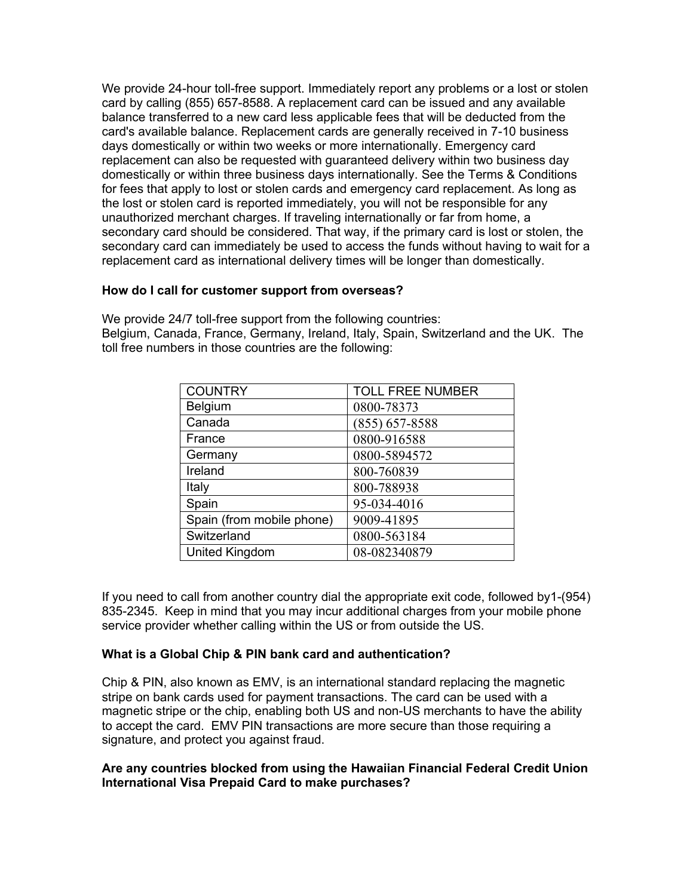We provide 24-hour toll-free support. Immediately report any problems or a lost or stolen card by calling (855) 657-8588. A replacement card can be issued and any available balance transferred to a new card less applicable fees that will be deducted from the card's available balance. Replacement cards are generally received in 7-10 business days domestically or within two weeks or more internationally. Emergency card replacement can also be requested with guaranteed delivery within two business day domestically or within three business days internationally. See the Terms & Conditions for fees that apply to lost or stolen cards and emergency card replacement. As long as the lost or stolen card is reported immediately, you will not be responsible for any unauthorized merchant charges. If traveling internationally or far from home, a secondary card should be considered. That way, if the primary card is lost or stolen, the secondary card can immediately be used to access the funds without having to wait for a replacement card as international delivery times will be longer than domestically.

### **How do I call for customer support from overseas?**

We provide 24/7 toll-free support from the following countries: Belgium, Canada, France, Germany, Ireland, Italy, Spain, Switzerland and the UK. The toll free numbers in those countries are the following:

| <b>COUNTRY</b>            | <b>TOLL FREE NUMBER</b> |
|---------------------------|-------------------------|
| Belgium                   | 0800-78373              |
| Canada                    | $(855) 657 - 8588$      |
| France                    | 0800-916588             |
| Germany                   | 0800-5894572            |
| Ireland                   | 800-760839              |
| Italy                     | 800-788938              |
| Spain                     | 95-034-4016             |
| Spain (from mobile phone) | 9009-41895              |
| Switzerland               | 0800-563184             |
| United Kingdom            | 08-082340879            |

If you need to call from another country dial the appropriate exit code, followed by1-(954) 835-2345. Keep in mind that you may incur additional charges from your mobile phone service provider whether calling within the US or from outside the US.

# **What is a Global Chip & PIN bank card and authentication?**

Chip & PIN, also known as EMV, is an international standard replacing the magnetic stripe on bank cards used for payment transactions. The card can be used with a magnetic stripe or the chip, enabling both US and non-US merchants to have the ability to accept the card. EMV PIN transactions are more secure than those requiring a signature, and protect you against fraud.

### **Are any countries blocked from using the Hawaiian Financial Federal Credit Union International Visa Prepaid Card to make purchases?**